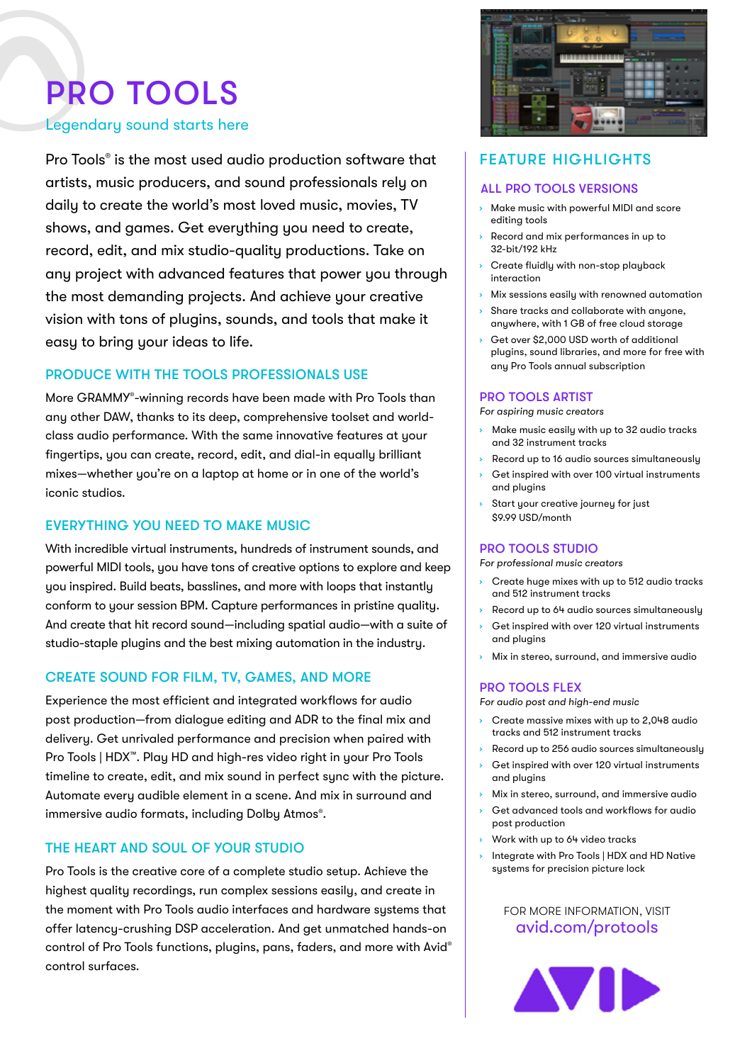# PRO TOOLS

#### Legendary sound starts here

Pro Tools® is the most used audio production software that artists, music producers, and sound professionals rely on daily to create the world's most loved music, movies, TV shows, and games. Get everything you need to create, record, edit, and mix studio-quality productions. Take on any project with advanced features that power you through the most demanding projects. And achieve your creative vision with tons of plugins, sounds, and tools that make it easy to bring your ideas to life.

#### PRODUCE WITH THE TOOLS PROFESSIONALS USE

More GRAMMY®-winning records have been made with Pro Tools than any other DAW, thanks to its deep, comprehensive toolset and worldclass audio performance. With the same innovative features at your fingertips, you can create, record, edit, and dial-in equally brilliant mixes—whether you're on a laptop at home or in one of the world's iconic studios.

#### EVERYTHING YOU NEED TO MAKE MUSIC

With incredible virtual instruments, hundreds of instrument sounds, and powerful MIDI tools, you have tons of creative options to explore and keep you inspired. Build beats, basslines, and more with loops that instantly conform to your session BPM. Capture performances in pristine quality. And create that hit record sound—including spatial audio—with a suite of studio-staple plugins and the best mixing automation in the industry.

#### CREATE SOUND FOR FILM, TV, GAMES, AND MORE

Experience the most efficient and integrated workflows for audio post production—from dialogue editing and ADR to the final mix and delivery. Get unrivaled performance and precision when paired with Pro Tools | HDX™. Play HD and high-res video right in your Pro Tools timeline to create, edit, and mix sound in perfect sync with the picture. Automate every audible element in a scene. And mix in surround and immersive audio formats, including Dolby Atmos®.

#### THE HEART AND SOUL OF YOUR STUDIO

Pro Tools is the creative core of a complete studio setup. Achieve the highest quality recordings, run complex sessions easily, and create in the moment with Pro Tools audio interfaces and hardware systems that offer latency-crushing DSP acceleration. And get unmatched hands-on control of Pro Tools functions, plugins, pans, faders, and more with Avid® control surfaces.



## FEATURE HIGHLIGHTS

#### ALL PRO TOOLS VERSIONS

- › Make music with powerful MIDI and score editing tools
- Record and mix performances in up to 32-bit/192 kHz
- Create fluidly with non-stop playback interaction
- Mix sessions easily with renowned automation
- › Share tracks and collaborate with anyone, anywhere, with 1 GB of free cloud storage
- Get over \$2,000 USD worth of additional plugins, sound libraries, and more for free with any Pro Tools annual subscription

#### PRO TOOLS ARTIST

*For aspiring music creators*

- › Make music easily with up to 32 audio tracks and 32 instrument tracks
- Record up to 16 audio sources simultaneously
- Get inspired with over 100 virtual instruments and plugins
- Start your creative journey for just \$9.99 USD/month

#### PRO TOOLS STUDIO

*For professional music creators*

- Create huge mixes with up to 512 audio tracks and 512 instrument tracks
- › Record up to 64 audio sources simultaneously
- Get inspired with over 120 virtual instruments and plugins
- › Mix in stereo, surround, and immersive audio

#### PRO TOOLS FLEX

*For audio post and high-end music*

- › Create massive mixes with up to 2,048 audio tracks and 512 instrument tracks
- Record up to 256 audio sources simultaneously
- Get inspired with over 120 virtual instruments and plugins
- Mix in stereo, surround, and immersive audio
- Get advanced tools and workflows for audio post production
- › Work with up to 64 video tracks
- › Integrate with Pro Tools | HDX and HD Native systems for precision picture lock

#### FOR MORE INFORMATION, VISIT [avid.com/](http://www.avid.com/protools)protools